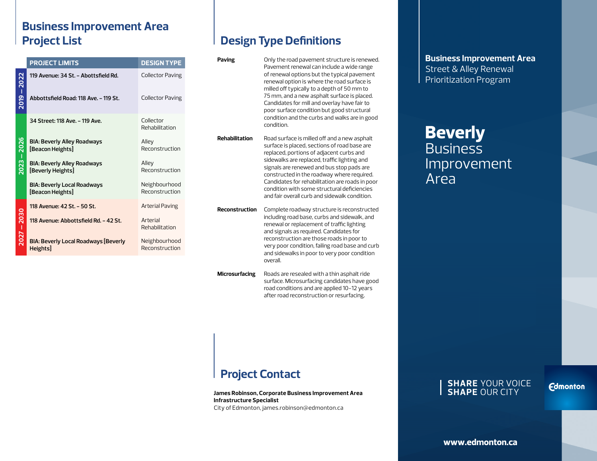### **Business Improvement Area Project List**

|                  | <b>PROJECT LIMITS</b>                                   | <b>DESIGN TYPE</b>              |
|------------------|---------------------------------------------------------|---------------------------------|
| 2019-2022        | 119 Avenue: 34 St. - Abottsfield Rd.                    | <b>Collector Paving</b>         |
|                  | Abbottsfield Road: 118 Ave. - 119 St.                   | <b>Collector Paving</b>         |
| $2023 - 2026$    | 34 Street: 118 Ave. - 119 Ave.                          | Collector<br>Rehabilitation     |
|                  | <b>BIA: Beverly Alley Roadways</b><br>[Beacon Heights]  | Alley<br>Reconstruction         |
|                  | <b>BIA: Beverly Alley Roadways</b><br>[Beverly Heights] | Alley<br>Reconstruction         |
|                  | <b>BIA: Beverly Local Roadways</b><br>[Beacon Heights]  | Neighbourhood<br>Reconstruction |
| 2030<br>$2027 -$ | 118 Avenue: 42 St. - 50 St.                             | Arterial Paving                 |
|                  | 118 Avenue: Abbottsfield Rd. - 42 St.                   | Arterial<br>Rehabilitation      |
|                  | <b>BIA: Beverly Local Roadways [Beverly</b><br>Heights] | Neighbourhood<br>Reconstruction |

## **Design Type Definitions**

| Paving                | Only the road pavement structure is renewed.<br>Pavement renewal can include a wide range<br>of renewal options but the typical pavement<br>renewal option is where the road surface is<br>milled off typically to a depth of 50 mm to<br>75 mm, and a new asphalt surface is placed.<br>Candidates for mill and overlay have fair to<br>poor surface condition but good structural<br>condition and the curbs and walks are in good<br>condition. |
|-----------------------|----------------------------------------------------------------------------------------------------------------------------------------------------------------------------------------------------------------------------------------------------------------------------------------------------------------------------------------------------------------------------------------------------------------------------------------------------|
| Rehabilitation        | Road surface is milled off and a new asphalt<br>surface is placed, sections of road base are<br>replaced, portions of adjacent curbs and<br>sidewalks are replaced, traffic lighting and<br>signals are renewed and bus stop pads are<br>constructed in the roadway where required.<br>Candidates for rehabilitation are roads in poor<br>condition with some structural deficiencies<br>and fair overall curb and sidewalk condition.             |
| <b>Reconstruction</b> | Complete roadway structure is reconstructed<br>including road base, curbs and sidewalk, and<br>renewal or replacement of traffic lighting<br>and signals as required. Candidates for<br>reconstruction are those roads in poor to<br>very poor condition, failing road base and curb<br>and sidewalks in poor to very poor condition<br>overall.                                                                                                   |
| <b>Microsurfacing</b> | Roads are resealed with a thin asphalt ride                                                                                                                                                                                                                                                                                                                                                                                                        |

surface. Microsurfacing candidates have good road conditions and are applied 10-12 years after road reconstruction or resurfacing.

## **Project Contact**

**James Robinson, Corporate Business Improvement Area Infrastructure Specialist** City of Edmonton, james.robinson@edmonton.ca

#### **Business Improvement Area** Street & Alley Renewal Prioritization Program

# **Beverly Business** Improvement Area

#### **SHARE** YOUR VOICE **SHAPE** OUR CITY

**Edmonton**